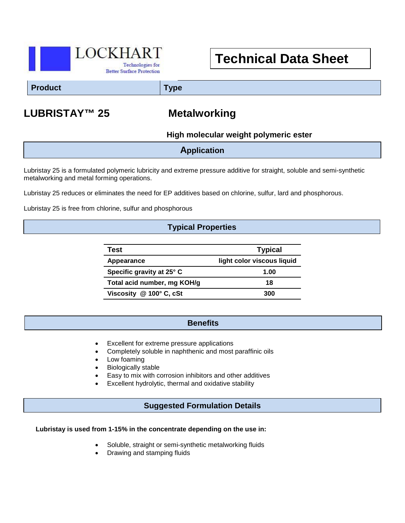

# **Technical Data Sheet**

#### **Product Type**

## **LUBRISTAY™ 25 Metalworking**

**High molecular weight polymeric ester**

**Application**

Lubristay 25 is a formulated polymeric lubricity and extreme pressure additive for straight, soluble and semi-synthetic metalworking and metal forming operations.

Lubristay 25 reduces or eliminates the need for EP additives based on chlorine, sulfur, lard and phosphorous.

Lubristay 25 is free from chlorine, sulfur and phosphorous

#### **Typical Properties**

| Test                        | <b>Typical</b>             |
|-----------------------------|----------------------------|
| Appearance                  | light color viscous liquid |
| Specific gravity at 25° C   | 1.00                       |
| Total acid number, mg KOH/g | 18                         |
| Viscosity @ 100° C, cSt     | 300                        |

#### **Benefits**

Excellent for extreme pressure applications

- Completely soluble in naphthenic and most paraffinic oils
- Low foaming
- Biologically stable
- Easy to mix with corrosion inhibitors and other additives
- Excellent hydrolytic, thermal and oxidative stability

#### **Suggested Formulation Details**

#### **Lubristay is used from 1-15% in the concentrate depending on the use in:**

- Soluble, straight or semi-synthetic metalworking fluids
- Drawing and stamping fluids